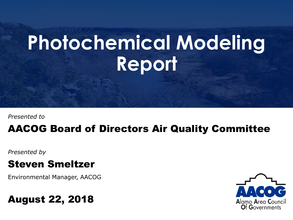# **Photochemical Modeling Report**

*Presented to*

#### AACOG Board of Directors Air Quality Committee

*Presented by*

#### Steven Smeltzer

Environmental Manager, AACOG

#### August 22, 2018

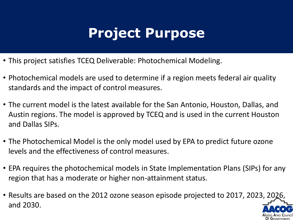# **Project Purpose**

- This project satisfies TCEQ Deliverable: Photochemical Modeling.
- Photochemical models are used to determine if a region meets federal air quality standards and the impact of control measures.
- The current model is the latest available for the San Antonio, Houston, Dallas, and Austin regions. The model is approved by TCEQ and is used in the current Houston and Dallas SIPs.
- The Photochemical Model is the only model used by EPA to predict future ozone levels and the effectiveness of control measures.
- EPA requires the photochemical models in State Implementation Plans (SIPs) for any region that has a moderate or higher non-attainment status.
- Results are based on the 2012 ozone season episode projected to 2017, 2023, 2026, and 2030.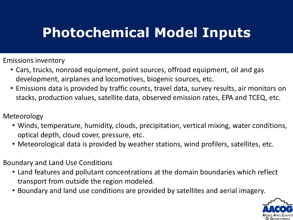# **Photochemical Model Inputs**

Emissions inventory

- Cars, trucks, nonroad equipment, point sources, offroad equipment, oil and gas development, airplanes and locomotives, biogenic sources, etc.
- Emissions data is provided by traffic counts, travel data, survey results, air monitors on stacks, production values, satellite data, observed emission rates, EPA and TCEQ, etc.

#### Meteorology

- Winds, temperature, humidity, clouds, precipitation, vertical mixing, water conditions, optical depth, cloud cover, pressure, etc.
- Meteorological data is provided by weather stations, wind profilers, satellites, etc.

#### Boundary and Land Use Conditions

- Land features and pollutant concentrations at the domain boundaries which reflect transport from outside the region modeled.
- Boundary and land use conditions are provided by satellites and aerial imagery.

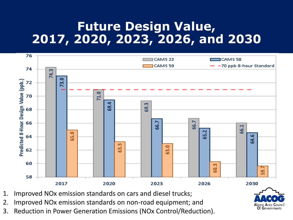### **Future Design Value, 2017, 2020, 2023, 2026, and 2030**



- 1. Improved NOx emission standards on cars and diesel trucks;
- 2. Improved NOx emission standards on non-road equipment; and
- 3. Reduction in Power Generation Emissions (NOx Control/Reduction).

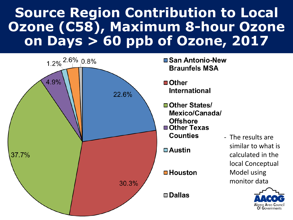# **Source Region Contribution to Local Ozone (C58), Maximum 8-hour Ozone on Days > 60 ppb of Ozone, 2017**



- **San Antonio-New Braunfels MSA**
- **International**
- **□ Other States/** Mexico/Canada/ **Offshore □ Other Texas Counties**

 $\blacksquare$  Houston

- The results are similar to what is calculated in the local Conceptual Model using monitor data

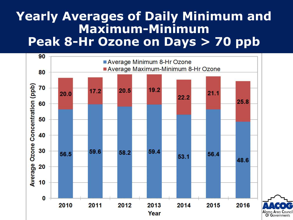### **Yearly Averages of Daily Minimum and Maximum-Minimum Peak 8-Hr Ozone on Days > 70 ppb**

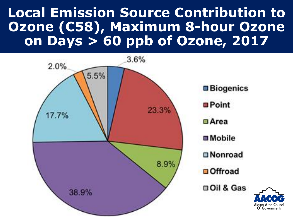# **Local Emission Source Contribution to Ozone (C58), Maximum 8-hour Ozone on Days > 60 ppb of Ozone, 2017**

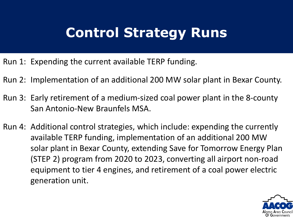# **Control Strategy Runs**

- Run 1: Expending the current available TERP funding.
- Run 2: Implementation of an additional 200 MW solar plant in Bexar County.
- Run 3: Early retirement of a medium-sized coal power plant in the 8-county San Antonio-New Braunfels MSA.
- Run 4: Additional control strategies, which include: expending the currently available TERP funding, implementation of an additional 200 MW solar plant in Bexar County, extending Save for Tomorrow Energy Plan (STEP 2) program from 2020 to 2023, converting all airport non-road equipment to tier 4 engines, and retirement of a coal power electric generation unit.

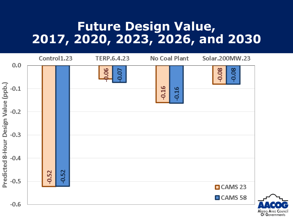### **Future Design Value, 2017, 2020, 2023, 2026, and 2030**

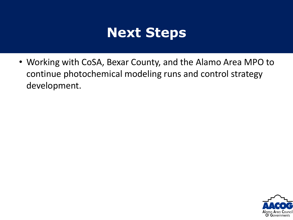## **Next Steps**

• Working with CoSA, Bexar County, and the Alamo Area MPO to continue photochemical modeling runs and control strategy development.

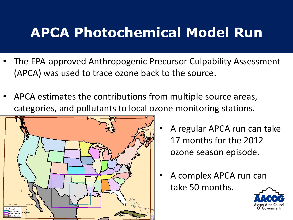# **APCA Photochemical Model Run**

- The EPA-approved Anthropogenic Precursor Culpability Assessment (APCA) was used to trace ozone back to the source.
- APCA estimates the contributions from multiple source areas, categories, and pollutants to local ozone monitoring stations.



- A regular APCA run can take 17 months for the 2012 ozone season episode.
- A complex APCA run can take 50 months.

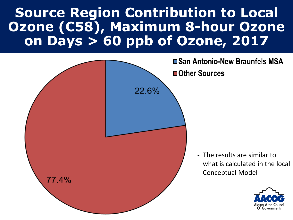# **Source Region Contribution to Local Ozone (C58), Maximum 8-hour Ozone on Days > 60 ppb of Ozone, 2017**

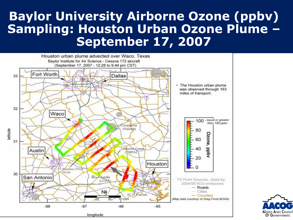### **Baylor University Airborne Ozone (ppbv) Sampling: Houston Urban Ozone Plume – September 17, 2007**



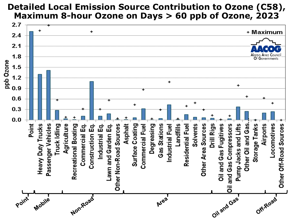#### **Detailed Local Emission Source Contribution to Ozone (C58), Maximum 8-hour Ozone on Days > 60 ppb of Ozone, 2023**